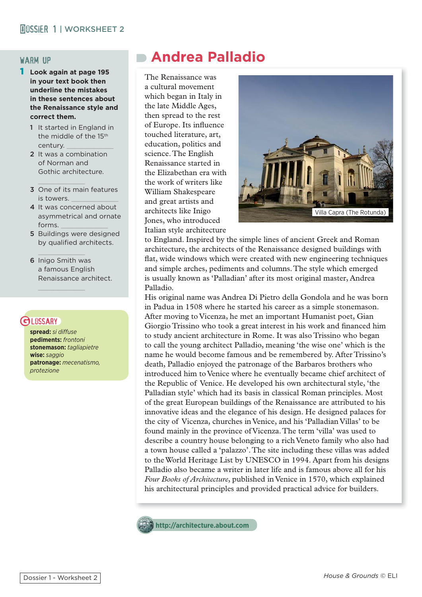# warm up

- 1 **Look again at page 195 in your text book then underline the mistakes in these sentences about the Renaissance style and correct them.** 
	- 1 It started in England in the middle of the 15<sup>th</sup> century.
	- 2 It was a combination of Norman and Gothic architecture.

 $\frac{1}{2}$ 

- 3 One of its main features is towers.
- 4 It was concerned about asymmetrical and ornate forms.
- 5 Buildings were designed by qualified architects.
- 6 Inigo Smith was a famous English Renaissance architect.

 $\mathcal{L}=\mathcal{L}=\mathcal{L}=\mathcal{L}=\mathcal{L}=\mathcal{L}=\mathcal{L}=\mathcal{L}=\mathcal{L}=\mathcal{L}=\mathcal{L}=\mathcal{L}=\mathcal{L}=\mathcal{L}=\mathcal{L}=\mathcal{L}=\mathcal{L}=\mathcal{L}=\mathcal{L}=\mathcal{L}=\mathcal{L}=\mathcal{L}=\mathcal{L}=\mathcal{L}=\mathcal{L}=\mathcal{L}=\mathcal{L}=\mathcal{L}=\mathcal{L}=\mathcal{L}=\mathcal{L}=\mathcal{L}=\mathcal{L}=\mathcal{L}=\mathcal{L}=\mathcal{L}=\mathcal{$ 

 $\mathcal{L}=\mathcal{L}=\mathcal{L}=\mathcal{L}=\mathcal{L}=\mathcal{L}=\mathcal{L}=\mathcal{L}=\mathcal{L}=\mathcal{L}=\mathcal{L}=\mathcal{L}=\mathcal{L}=\mathcal{L}=\mathcal{L}=\mathcal{L}=\mathcal{L}=\mathcal{L}=\mathcal{L}=\mathcal{L}=\mathcal{L}=\mathcal{L}=\mathcal{L}=\mathcal{L}=\mathcal{L}=\mathcal{L}=\mathcal{L}=\mathcal{L}=\mathcal{L}=\mathcal{L}=\mathcal{L}=\mathcal{L}=\mathcal{L}=\mathcal{L}=\mathcal{L}=\mathcal{L}=\mathcal{$ 

# **G LOSSARY**

**spread:** *si diffuse* **pediments:** *frontoni* **stonemason:** *tagliapietre* **wise:** *saggio* **patronage:** *mecenatismo, protezione*

# **Andrea Palladio**

The Renaissance was a cultural movement which began in Italy in the late Middle Ages, then spread to the rest of Europe. Its influence touched literature, art, education, politics and science. The English Renaissance started in the Elizabethan era with the work of writers like William Shakespeare and great artists and architects like Inigo Jones, who introduced Italian style architecture



to England. Inspired by the simple lines of ancient Greek and Roman architecture, the architects of the Renaissance designed buildings with flat, wide windows which were created with new engineering techniques and simple arches, pediments and columns. The style which emerged is usually known as 'Palladian' after its most original master, Andrea Palladio.

His original name was Andrea Di Pietro della Gondola and he was born in Padua in 1508 where he started his career as a simple stonemason. After moving to Vicenza, he met an important Humanist poet, Gian Giorgio Trissino who took a great interest in his work and financed him to study ancient architecture in Rome. It was also Trissino who began to call the young architect Palladio, meaning 'the wise one' which is the name he would become famous and be remembered by. After Trissino's death, Palladio enjoyed the patronage of the Barbaros brothers who introduced him to Venice where he eventually became chief architect of the Republic of Venice. He developed his own architectural style, 'the Palladian style' which had its basis in classical Roman principles. Most of the great European buildings of the Renaissance are attributed to his innovative ideas and the elegance of his design. He designed palaces for the city of Vicenza, churches in Venice, and his 'Palladian Villas' to be found mainly in the province of Vicenza. The term 'villa' was used to describe a country house belonging to a rich Veneto family who also had a town house called a 'palazzo'. The site including these villas was added to the World Heritage List by UNESCO in 1994. Apart from his designs Palladio also became a writer in later life and is famous above all for his *Four Books of Architecture*, published in Venice in 1570, which explained his architectural principles and provided practical advice for builders.



**http://architecture.about.com**